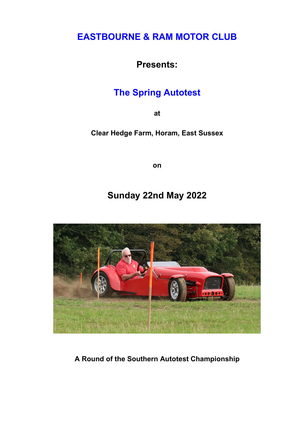## EASTBOURNE & RAM MOTOR CLUB

Presents:

# The Spring Autotest

at

Clear Hedge Farm, Horam, East Sussex

on

## Sunday 22nd May 2022



A Round of the Southern Autotest Championship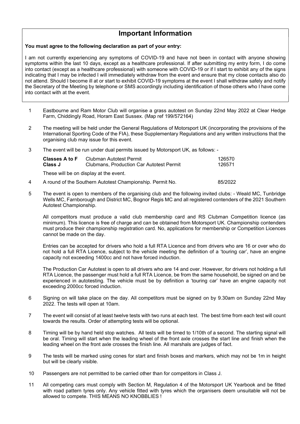### Important Information

#### You must agree to the following declaration as part of your entry:

I am not currently experiencing any symptoms of COVID-19 and have not been in contact with anyone showing symptoms within the last 10 days, except as a healthcare professional. If after submitting my entry form, I do come into contact (except as a healthcare professional) with someone with COVID-19 or if I start to exhibit any of the signs indicating that I may be infected I will immediately withdraw from the event and ensure that my close contacts also do not attend. Should I become ill at or start to exhibit COVID-19 symptoms at the event I shall withdraw safely and notify the Secretary of the Meeting by telephone or SMS accordingly including identification of those others who I have come into contact with at the event.

- 1 Eastbourne and Ram Motor Club will organise a grass autotest on Sunday 22nd May 2022 at Clear Hedge Farm, Chiddingly Road, Horam East Sussex. (Map ref 199/572164)
- 2 The meeting will be held under the General Regulations of Motorsport UK (incorporating the provisions of the International Sporting Code of the FIA), these Supplementary Regulations and any written instructions that the organising club may issue for this event.
- 3 The event will be run under dual permits issued by Motorsport UK, as follows: -

| <b>Classes A to F</b><br><b>Class J</b> | Clubman Autotest Permit<br><b>Clubmans, Production Car Autotest Permit</b> | 126570<br>126571 |
|-----------------------------------------|----------------------------------------------------------------------------|------------------|
|                                         | These will be on display at the event.                                     |                  |
|                                         | A second of the October Autobest Observationalism. Desmait Me              | 0.5000           |

- 4 A round of the Southern Autotest Championship. Permit No. 85/2022
- 5 The event is open to members of the organising club and the following invited clubs: Weald MC, Tunbridge Wells MC, Farnborough and District MC, Bognor Regis MC and all registered contenders of the 2021 Southern Autotest Championship.

All competitors must produce a valid club membership card and RS Clubman Competition licence (as minimum). This licence is free of charge and can be obtained from Motorsport UK. Championship contenders must produce their championship registration card. No, applications for membership or Competition Licences cannot be made on the day.

Entries can be accepted for drivers who hold a full RTA Licence and from drivers who are 16 or over who do not hold a full RTA Licence, subject to the vehicle meeting the definition of a 'touring car', have an engine capacity not exceeding 1400cc and not have forced induction.

 The Production Car Autotest is open to all drivers who are 14 and over. However, for drivers not holding a full RTA Licence, the passenger must hold a full RTA Licence, be from the same household, be signed on and be experienced in autotesting. The vehicle must be by definition a 'touring car' have an engine capacity not exceeding 2000cc forced induction.

- 6 Signing on will take place on the day. All competitors must be signed on by 9.30am on Sunday 22nd May 2022. The tests will open at 10am.
- 7 The event will consist of at least twelve tests with two runs at each test. The best time from each test will count towards the results. Order of attempting tests will be optional.
- 8 Timing will be by hand held stop watches. All tests will be timed to 1/10th of a second. The starting signal will be oral. Timing will start when the leading wheel of the front axle crosses the start line and finish when the leading wheel on the front axle crosses the finish line. All marshals are judges of fact.
- 9 The tests will be marked using cones for start and finish boxes and markers, which may not be 1m in height but will be clearly visible.
- 10 Passengers are not permitted to be carried other than for competitors in Class J.
- 11 All competing cars must comply with Section M, Regulation 4 of the Motorsport UK Yearbook and be fitted with road pattern tyres only. Any vehicle fitted with tyres which the organisers deem unsuitable will not be allowed to compete. THIS MEANS NO KNOBBLIES !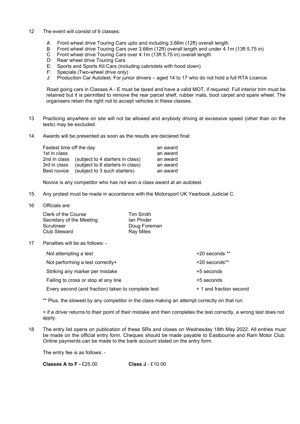- 12 The event will consist of 6 classes:
	- A Front wheel drive Touring Cars upto and including 3.66m (12ft) overall length
	- B Front wheel drive Touring Cars over 3.66m (12ft) overall length and under 4.1m (13ft 5.75 in)
	- C Front wheel drive Touring Cars over 4.1m (13ft 5.75 in) overall length
	- D: Rear wheel drive Touring Cars
	- E: Sports and Sports Kit Cars (including cabriolets with hood down)
	- F: Specials (Two-wheel drive only)
	- J: Production Car Autotest. For junior drivers aged 14 to 17 who do not hold a full RTA Licence.

Road going cars in Classes A - E must be taxed and have a valid MOT, if required. Full interior trim must be retained but it is permitted to remove the rear parcel shelf, rubber mats, boot carpet and spare wheel. The organisers retain the right not to accept vehicles in these classes.

- 13 Practicing anywhere on site will not be allowed and anybody driving at excessive speed (other than on the tests) may be excluded.
- 14 Awards will be presented as soon as the results are declared final:

| Fastest time off the day |                                               | an award |
|--------------------------|-----------------------------------------------|----------|
| 1st in class             |                                               | an award |
|                          | 2nd in class (subject to 4 starters in class) | an award |
| 3rd in class             | (subject to 6 starters in class)              | an award |
| Best novice              | (subject to 3 such starters)                  | an award |

Novice is any competitor who has not won a class award at an autotest.

- 15 Any protest must be made in accordance with the Motorsport UK Yearbook Judicial C.
- 16 Officials are:

| Clerk of the Course      | Tim Smith        |
|--------------------------|------------------|
| Secretary of the Meeting | lan Pinder       |
| Scrutineer               | Doug Foreman     |
| Club Steward             | <b>Ray Miles</b> |

17 Penalties will be as follows: -

| Not attempting a test                              | +20 seconds **          |
|----------------------------------------------------|-------------------------|
| Not performing a test correctly+                   | +20 seconds**           |
| Striking any marker per mistake                    | +5 seconds              |
| Failing to cross or stop at any line               | +5 seconds              |
| Every second (and fraction) taken to complete test | + 1 and fraction second |

\*\* Plus, the slowest by any competitor in the class making an attempt correctly on that run.

+ if a driver returns to their point of their mistake and then completes the test correctly, a wrong test does not apply.

18 The entry list opens on publication of these SRs and closes on Wednesday 18th May 2022. All entries must be made on the official entry form. Cheques should be made payable to Eastbourne and Ram Motor Club. Online payments can be made to the bank account stated on the entry form.

The entry fee is as follows: -

Classes A to  $F - £25.00$  Class J  $- £10.00$